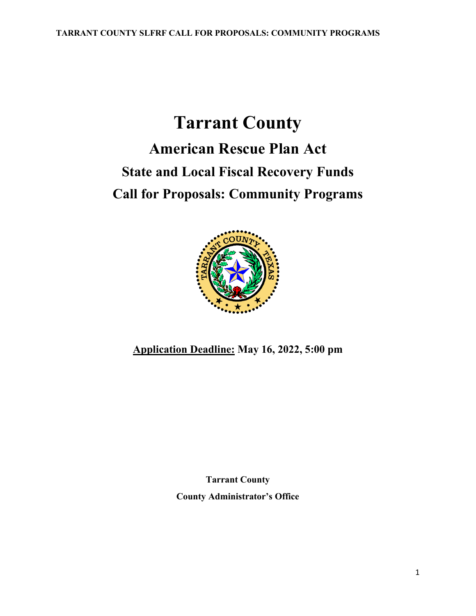# **Tarrant County American Rescue Plan Act State and Local Fiscal Recovery Funds Call for Proposals: Community Programs**



**Application Deadline: May 16, 2022, 5:00 pm**

**Tarrant County County Administrator's Office**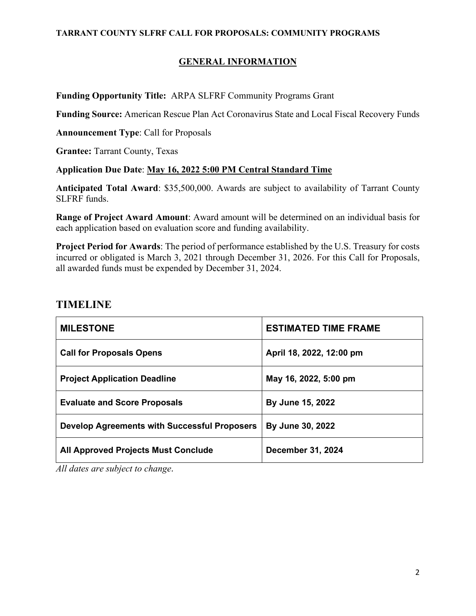#### **GENERAL INFORMATION**

#### **Funding Opportunity Title:** ARPA SLFRF Community Programs Grant

**Funding Source:** American Rescue Plan Act Coronavirus State and Local Fiscal Recovery Funds

**Announcement Type**: Call for Proposals

**Grantee:** Tarrant County, Texas

#### **Application Due Date**: **May 16, 2022 5:00 PM Central Standard Time**

**Anticipated Total Award**: \$35,500,000. Awards are subject to availability of Tarrant County SLFRF funds.

**Range of Project Award Amount**: Award amount will be determined on an individual basis for each application based on evaluation score and funding availability.

**Project Period for Awards**: The period of performance established by the U.S. Treasury for costs incurred or obligated is March 3, 2021 through December 31, 2026. For this Call for Proposals, all awarded funds must be expended by December 31, 2024.

### **TIMELINE**

| <b>MILESTONE</b>                             | <b>ESTIMATED TIME FRAME</b> |
|----------------------------------------------|-----------------------------|
| <b>Call for Proposals Opens</b>              | April 18, 2022, 12:00 pm    |
| <b>Project Application Deadline</b>          | May 16, 2022, 5:00 pm       |
| <b>Evaluate and Score Proposals</b>          | By June 15, 2022            |
| Develop Agreements with Successful Proposers | By June 30, 2022            |
| <b>All Approved Projects Must Conclude</b>   | <b>December 31, 2024</b>    |

*All dates are subject to change.*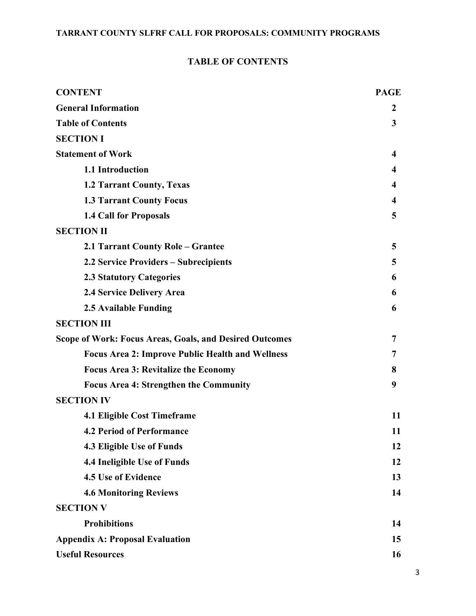### **TABLE OF CONTENTS**

| <b>CONTENT</b>                                                 | <b>PAGE</b>      |
|----------------------------------------------------------------|------------------|
| <b>General Information</b>                                     | $\boldsymbol{2}$ |
| <b>Table of Contents</b>                                       | 3                |
| <b>SECTION I</b>                                               |                  |
| <b>Statement of Work</b>                                       | 4                |
| 1.1 Introduction                                               | 4                |
| <b>1.2 Tarrant County, Texas</b>                               | 4                |
| <b>1.3 Tarrant County Focus</b>                                | 4                |
| <b>1.4 Call for Proposals</b>                                  | 5                |
| <b>SECTION II</b>                                              |                  |
| 2.1 Tarrant County Role - Grantee                              | 5                |
| 2.2 Service Providers – Subrecipients                          | 5                |
| <b>2.3 Statutory Categories</b>                                | 6                |
| 2.4 Service Delivery Area                                      | 6                |
| 2.5 Available Funding                                          | 6                |
| <b>SECTION III</b>                                             |                  |
| <b>Scope of Work: Focus Areas, Goals, and Desired Outcomes</b> | 7                |
| <b>Focus Area 2: Improve Public Health and Wellness</b>        | 7                |
| <b>Focus Area 3: Revitalize the Economy</b>                    | 8                |
| <b>Focus Area 4: Strengthen the Community</b>                  | 9                |
| <b>SECTION IV</b>                                              |                  |
| <b>4.1 Eligible Cost Timeframe</b>                             | 11               |
| <b>4.2 Period of Performance</b>                               | 11               |
| 4.3 Eligible Use of Funds                                      | 12               |
| 4.4 Ineligible Use of Funds                                    | 12               |
| 4.5 Use of Evidence                                            | 13               |
| <b>4.6 Monitoring Reviews</b>                                  | 14               |
| <b>SECTION V</b>                                               |                  |
| <b>Prohibitions</b>                                            | 14               |
| <b>Appendix A: Proposal Evaluation</b>                         | 15               |
| <b>Useful Resources</b>                                        | 16               |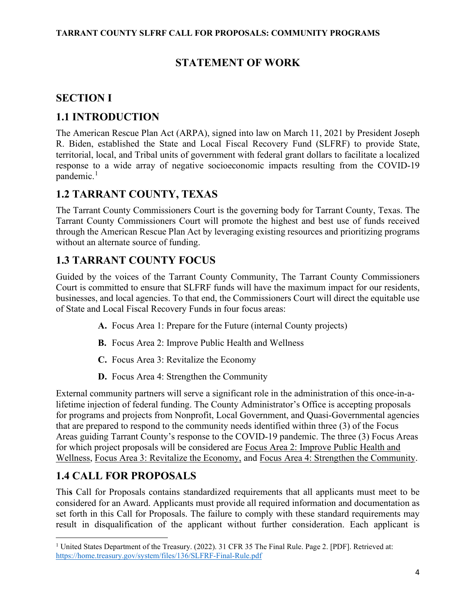# **STATEMENT OF WORK**

# **SECTION I**

# **1.1 INTRODUCTION**

The American Rescue Plan Act (ARPA), signed into law on March 11, 2021 by President Joseph R. Biden, established the State and Local Fiscal Recovery Fund (SLFRF) to provide State, territorial, local, and Tribal units of government with federal grant dollars to facilitate a localized response to a wide array of negative socioeconomic impacts resulting from the COVID-19 pandemic.<sup>[1](#page-3-0)</sup>

# **1.2 TARRANT COUNTY, TEXAS**

The Tarrant County Commissioners Court is the governing body for Tarrant County, Texas. The Tarrant County Commissioners Court will promote the highest and best use of funds received through the American Rescue Plan Act by leveraging existing resources and prioritizing programs without an alternate source of funding.

# **1.3 TARRANT COUNTY FOCUS**

Guided by the voices of the Tarrant County Community, The Tarrant County Commissioners Court is committed to ensure that SLFRF funds will have the maximum impact for our residents, businesses, and local agencies. To that end, the Commissioners Court will direct the equitable use of State and Local Fiscal Recovery Funds in four focus areas:

- **A.** Focus Area 1: Prepare for the Future (internal County projects)
- **B.** Focus Area 2: Improve Public Health and Wellness
- **C.** Focus Area 3: Revitalize the Economy
- **D.** Focus Area 4: Strengthen the Community

External community partners will serve a significant role in the administration of this once-in-alifetime injection of federal funding. The County Administrator's Office is accepting proposals for programs and projects from Nonprofit, Local Government, and Quasi-Governmental agencies that are prepared to respond to the community needs identified within three (3) of the Focus Areas guiding Tarrant County's response to the COVID-19 pandemic. The three (3) Focus Areas for which project proposals will be considered are Focus Area 2: Improve Public Health and Wellness, Focus Area 3: Revitalize the Economy, and Focus Area 4: Strengthen the Community.

# **1.4 CALL FOR PROPOSALS**

Thi**s** Call for Proposals contains standardized requirements that all applicants must meet to be considered for an Award. Applicants must provide all required information and documentation as set forth in this Call for Proposals. The failure to comply with these standard requirements may result in disqualification of the applicant without further consideration. Each applicant is

<span id="page-3-0"></span><sup>&</sup>lt;sup>1</sup> United States Department of the Treasury. (2022). 31 CFR 35 The Final Rule. Page 2. [PDF]. Retrieved at: <https://home.treasury.gov/system/files/136/SLFRF-Final-Rule.pdf>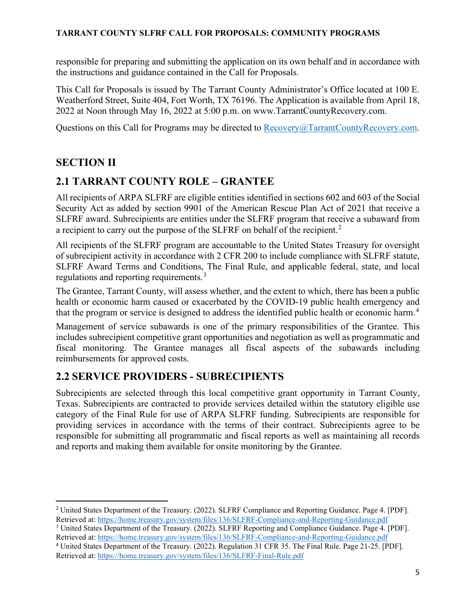responsible for preparing and submitting the application on its own behalf and in accordance with the instructions and guidance contained in the Call for Proposals.

This Call for Proposals is issued by The Tarrant County Administrator's Office located at 100 E. Weatherford Street, Suite 404, Fort Worth, TX 76196. The Application is available from April 18, 2022 at Noon through May 16, 2022 at 5:00 p.m. on www.TarrantCountyRecovery.com.

Questions on this Call for Programs may be directed to [Recovery@TarrantCountyRecovery.com.](mailto:Recovery@TarrantCountyRecovery.com)

### **SECTION II**

# **2.1 TARRANT COUNTY ROLE – GRANTEE**

All recipients of ARPA SLFRF are eligible entities identified in sections 602 and 603 of the Social Security Act as added by section 9901 of the American Rescue Plan Act of 2021 that receive a SLFRF award. Subrecipients are entities under the SLFRF program that receive a subaward from a recipient to carry out the purpose of the SLFRF on behalf of the recipient.<sup>[2](#page-4-0)</sup>

All recipients of the SLFRF program are accountable to the United States Treasury for oversight of subrecipient activity in accordance with 2 CFR 200 to include compliance with SLFRF statute, SLFRF Award Terms and Conditions, The Final Rule, and applicable federal, state, and local regulations and reporting requirements.<sup>[3](#page-4-1)</sup>

The Grantee, Tarrant County, will assess whether, and the extent to which, there has been a public health or economic harm caused or exacerbated by the COVID-19 public health emergency and that the program or service is designed to address the identified public health or economic harm.<sup>[4](#page-4-2)</sup>

Management of service subawards is one of the primary responsibilities of the Grantee. This includes subrecipient competitive grant opportunities and negotiation as well as programmatic and fiscal monitoring. The Grantee manages all fiscal aspects of the subawards including reimbursements for approved costs.

# **2.2 SERVICE PROVIDERS - SUBRECIPIENTS**

Subrecipients are selected through this local competitive grant opportunity in Tarrant County, Texas. Subrecipients are contracted to provide services detailed within the statutory eligible use category of the Final Rule for use of ARPA SLFRF funding. Subrecipients are responsible for providing services in accordance with the terms of their contract. Subrecipients agree to be responsible for submitting all programmatic and fiscal reports as well as maintaining all records and reports and making them available for onsite monitoring by the Grantee.

<span id="page-4-0"></span><sup>2</sup> United States Department of the Treasury. (2022). SLFRF Compliance and Reporting Guidance. Page 4. [PDF]. Retrieved at:<https://home.treasury.gov/system/files/136/SLFRF-Compliance-and-Reporting-Guidance.pdf>

<span id="page-4-1"></span><sup>3</sup> United States Department of the Treasury. (2022). SLFRF Reporting and Compliance Guidance. Page 4. [PDF]. Retrieved at:<https://home.treasury.gov/system/files/136/SLFRF-Compliance-and-Reporting-Guidance.pdf>

<span id="page-4-2"></span><sup>4</sup> United States Department of the Treasury. (2022). Regulation 31 CFR 35. The Final Rule. Page 21-25. [PDF]. Retrieved at:<https://home.treasury.gov/system/files/136/SLFRF-Final-Rule.pdf>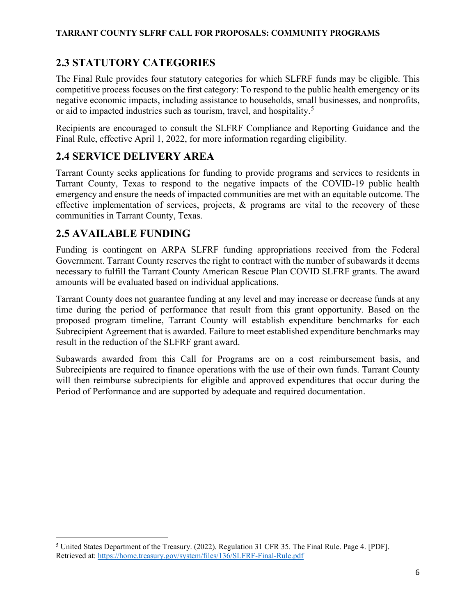# **2.3 STATUTORY CATEGORIES**

The Final Rule provides four statutory categories for which SLFRF funds may be eligible. This competitive process focuses on the first category: To respond to the public health emergency or its negative economic impacts, including assistance to households, small businesses, and nonprofits, or aid to impacted industries such as tourism, travel, and hospitality.<sup>[5](#page-5-0)</sup>

Recipients are encouraged to consult the SLFRF Compliance and Reporting Guidance and the Final Rule, effective April 1, 2022, for more information regarding eligibility.

### **2.4 SERVICE DELIVERY AREA**

Tarrant County seeks applications for funding to provide programs and services to residents in Tarrant County, Texas to respond to the negative impacts of the COVID-19 public health emergency and ensure the needs of impacted communities are met with an equitable outcome. The effective implementation of services, projects, & programs are vital to the recovery of these communities in Tarrant County, Texas.

### **2.5 AVAILABLE FUNDING**

Funding is contingent on ARPA SLFRF funding appropriations received from the Federal Government. Tarrant County reserves the right to contract with the number of subawards it deems necessary to fulfill the Tarrant County American Rescue Plan COVID SLFRF grants. The award amounts will be evaluated based on individual applications.

Tarrant County does not guarantee funding at any level and may increase or decrease funds at any time during the period of performance that result from this grant opportunity. Based on the proposed program timeline, Tarrant County will establish expenditure benchmarks for each Subrecipient Agreement that is awarded. Failure to meet established expenditure benchmarks may result in the reduction of the SLFRF grant award.

Subawards awarded from this Call for Programs are on a cost reimbursement basis, and Subrecipients are required to finance operations with the use of their own funds. Tarrant County will then reimburse subrecipients for eligible and approved expenditures that occur during the Period of Performance and are supported by adequate and required documentation.

<span id="page-5-0"></span><sup>5</sup> United States Department of the Treasury. (2022). Regulation 31 CFR 35. The Final Rule. Page 4. [PDF]. Retrieved at:<https://home.treasury.gov/system/files/136/SLFRF-Final-Rule.pdf>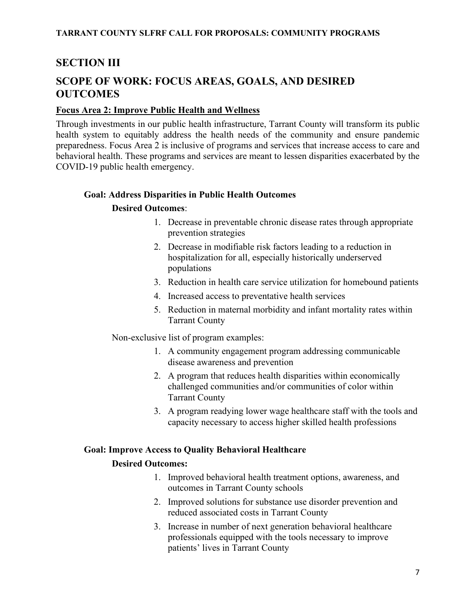# **SECTION III**

# **SCOPE OF WORK: FOCUS AREAS, GOALS, AND DESIRED OUTCOMES**

#### **Focus Area 2: Improve Public Health and Wellness**

Through investments in our public health infrastructure, Tarrant County will transform its public health system to equitably address the health needs of the community and ensure pandemic preparedness. Focus Area 2 is inclusive of programs and services that increase access to care and behavioral health. These programs and services are meant to lessen disparities exacerbated by the COVID-19 public health emergency.

#### **Goal: Address Disparities in Public Health Outcomes**

#### **Desired Outcomes**:

- 1. Decrease in preventable chronic disease rates through appropriate prevention strategies
- 2. Decrease in modifiable risk factors leading to a reduction in hospitalization for all, especially historically underserved populations
- 3. Reduction in health care service utilization for homebound patients
- 4. Increased access to preventative health services
- 5. Reduction in maternal morbidity and infant mortality rates within Tarrant County

Non-exclusive list of program examples:

- 1. A community engagement program addressing communicable disease awareness and prevention
- 2. A program that reduces health disparities within economically challenged communities and/or communities of color within Tarrant County
- 3. A program readying lower wage healthcare staff with the tools and capacity necessary to access higher skilled health professions

#### **Goal: Improve Access to Quality Behavioral Healthcare**

#### **Desired Outcomes:**

- 1. Improved behavioral health treatment options, awareness, and outcomes in Tarrant County schools
- 2. Improved solutions for substance use disorder prevention and reduced associated costs in Tarrant County
- 3. Increase in number of next generation behavioral healthcare professionals equipped with the tools necessary to improve patients' lives in Tarrant County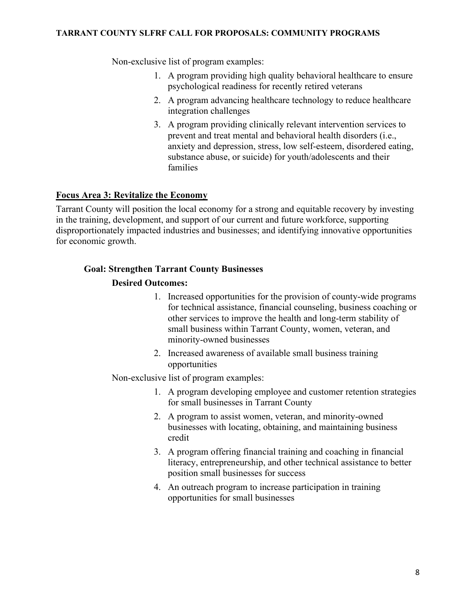Non-exclusive list of program examples:

- 1. A program providing high quality behavioral healthcare to ensure psychological readiness for recently retired veterans
- 2. A program advancing healthcare technology to reduce healthcare integration challenges
- 3. A program providing clinically relevant intervention services to prevent and treat mental and behavioral health disorders (i.e., anxiety and depression, stress, low self-esteem, disordered eating, substance abuse, or suicide) for youth/adolescents and their families

#### **Focus Area 3: Revitalize the Economy**

Tarrant County will position the local economy for a strong and equitable recovery by investing in the training, development, and support of our current and future workforce, supporting disproportionately impacted industries and businesses; and identifying innovative opportunities for economic growth.

#### **Goal: Strengthen Tarrant County Businesses**

#### **Desired Outcomes:**

- 1. Increased opportunities for the provision of county-wide programs for technical assistance, financial counseling, business coaching or other services to improve the health and long-term stability of small business within Tarrant County, women, veteran, and minority-owned businesses
- 2. Increased awareness of available small business training opportunities

#### Non-exclusive list of program examples:

- 1. A program developing employee and customer retention strategies for small businesses in Tarrant County
- 2. A program to assist women, veteran, and minority-owned businesses with locating, obtaining, and maintaining business credit
- 3. A program offering financial training and coaching in financial literacy, entrepreneurship, and other technical assistance to better position small businesses for success
- 4. An outreach program to increase participation in training opportunities for small businesses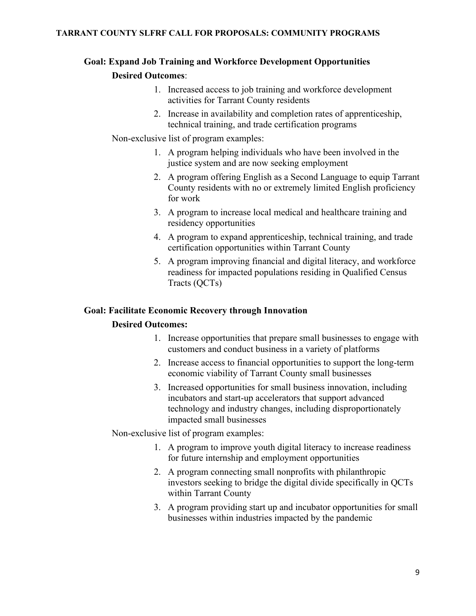### **Goal: Expand Job Training and Workforce Development Opportunities Desired Outcomes**:

- 1. Increased access to job training and workforce development activities for Tarrant County residents
- 2. Increase in availability and completion rates of apprenticeship, technical training, and trade certification programs

Non-exclusive list of program examples:

- 1. A program helping individuals who have been involved in the justice system and are now seeking employment
- 2. A program offering English as a Second Language to equip Tarrant County residents with no or extremely limited English proficiency for work
- 3. A program to increase local medical and healthcare training and residency opportunities
- 4. A program to expand apprenticeship, technical training, and trade certification opportunities within Tarrant County
- 5. A program improving financial and digital literacy, and workforce readiness for impacted populations residing in Qualified Census Tracts (QCTs)

#### **Goal: Facilitate Economic Recovery through Innovation**

#### **Desired Outcomes:**

- 1. Increase opportunities that prepare small businesses to engage with customers and conduct business in a variety of platforms
- 2. Increase access to financial opportunities to support the long-term economic viability of Tarrant County small businesses
- 3. Increased opportunities for small business innovation, including incubators and start-up accelerators that support advanced technology and industry changes, including disproportionately impacted small businesses

Non-exclusive list of program examples:

- 1. A program to improve youth digital literacy to increase readiness for future internship and employment opportunities
- 2. A program connecting small nonprofits with philanthropic investors seeking to bridge the digital divide specifically in QCTs within Tarrant County
- 3. A program providing start up and incubator opportunities for small businesses within industries impacted by the pandemic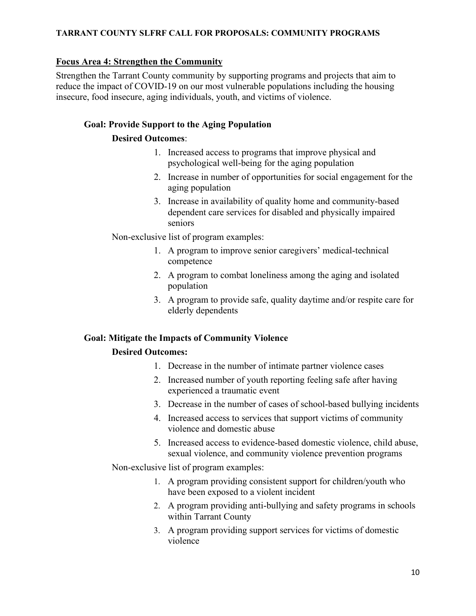#### **Focus Area 4: Strengthen the Community**

Strengthen the Tarrant County community by supporting programs and projects that aim to reduce the impact of COVID-19 on our most vulnerable populations including the housing insecure, food insecure, aging individuals, youth, and victims of violence.

#### **Goal: Provide Support to the Aging Population**

#### **Desired Outcomes**:

- 1. Increased access to programs that improve physical and psychological well-being for the aging population
- 2. Increase in number of opportunities for social engagement for the aging population
- 3. Increase in availability of quality home and community-based dependent care services for disabled and physically impaired seniors

Non-exclusive list of program examples:

- 1. A program to improve senior caregivers' medical-technical competence
- 2. A program to combat loneliness among the aging and isolated population
- 3. A program to provide safe, quality daytime and/or respite care for elderly dependents

#### **Goal: Mitigate the Impacts of Community Violence**

#### **Desired Outcomes:**

- 1. Decrease in the number of intimate partner violence cases
- 2. Increased number of youth reporting feeling safe after having experienced a traumatic event
- 3. Decrease in the number of cases of school-based bullying incidents
- 4. Increased access to services that support victims of community violence and domestic abuse
- 5. Increased access to evidence-based domestic violence, child abuse, sexual violence, and community violence prevention programs

Non-exclusive list of program examples:

- 1. A program providing consistent support for children/youth who have been exposed to a violent incident
- 2. A program providing anti-bullying and safety programs in schools within Tarrant County
- 3. A program providing support services for victims of domestic violence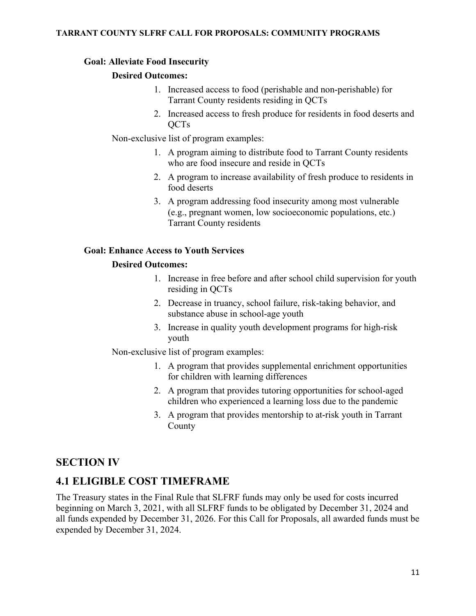#### **Goal: Alleviate Food Insecurity**

#### **Desired Outcomes:**

- 1. Increased access to food (perishable and non-perishable) for Tarrant County residents residing in QCTs
- 2. Increased access to fresh produce for residents in food deserts and QCTs

Non-exclusive list of program examples:

- 1. A program aiming to distribute food to Tarrant County residents who are food insecure and reside in QCTs
- 2. A program to increase availability of fresh produce to residents in food deserts
- 3. A program addressing food insecurity among most vulnerable (e.g., pregnant women, low socioeconomic populations, etc.) Tarrant County residents

#### **Goal: Enhance Access to Youth Services**

#### **Desired Outcomes:**

- 1. Increase in free before and after school child supervision for youth residing in QCTs
- 2. Decrease in truancy, school failure, risk-taking behavior, and substance abuse in school-age youth
- 3. Increase in quality youth development programs for high-risk youth

Non-exclusive list of program examples:

- 1. A program that provides supplemental enrichment opportunities for children with learning differences
- 2. A program that provides tutoring opportunities for school-aged children who experienced a learning loss due to the pandemic
- 3. A program that provides mentorship to at-risk youth in Tarrant County

### **SECTION IV**

### **4.1 ELIGIBLE COST TIMEFRAME**

The Treasury states in the Final Rule that SLFRF funds may only be used for costs incurred beginning on March 3, 2021, with all SLFRF funds to be obligated by December 31, 2024 and all funds expended by December 31, 2026. For this Call for Proposals, all awarded funds must be expended by December 31, 2024.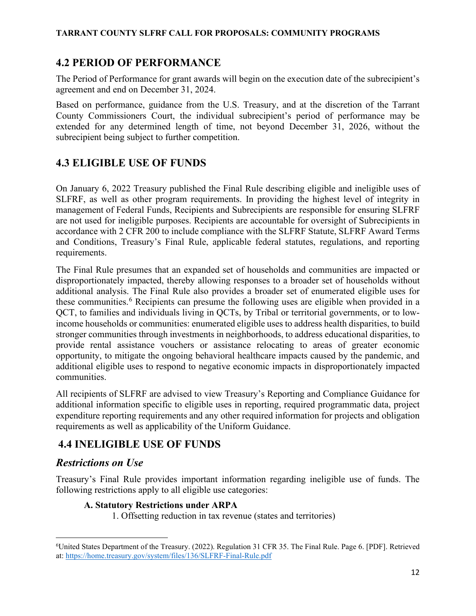### **4.2 PERIOD OF PERFORMANCE**

The Period of Performance for grant awards will begin on the execution date of the subrecipient's agreement and end on December 31, 2024.

Based on performance, guidance from the U.S. Treasury, and at the discretion of the Tarrant County Commissioners Court, the individual subrecipient's period of performance may be extended for any determined length of time, not beyond December 31, 2026, without the subrecipient being subject to further competition.

# **4.3 ELIGIBLE USE OF FUNDS**

On January 6, 2022 Treasury published the Final Rule describing eligible and ineligible uses of SLFRF, as well as other program requirements. In providing the highest level of integrity in management of Federal Funds, Recipients and Subrecipients are responsible for ensuring SLFRF are not used for ineligible purposes. Recipients are accountable for oversight of Subrecipients in accordance with 2 CFR 200 to include compliance with the SLFRF Statute, SLFRF Award Terms and Conditions, Treasury's Final Rule, applicable federal statutes, regulations, and reporting requirements.

The Final Rule presumes that an expanded set of households and communities are impacted or disproportionately impacted, thereby allowing responses to a broader set of households without additional analysis. The Final Rule also provides a broader set of enumerated eligible uses for these communities.<sup>[6](#page-11-0)</sup> Recipients can presume the following uses are eligible when provided in a QCT, to families and individuals living in QCTs, by Tribal or territorial governments, or to lowincome households or communities: enumerated eligible uses to address health disparities, to build stronger communities through investments in neighborhoods, to address educational disparities, to provide rental assistance vouchers or assistance relocating to areas of greater economic opportunity, to mitigate the ongoing behavioral healthcare impacts caused by the pandemic, and additional eligible uses to respond to negative economic impacts in disproportionately impacted communities.

All recipients of SLFRF are advised to view Treasury's Reporting and Compliance Guidance for additional information specific to eligible uses in reporting, required programmatic data, project expenditure reporting requirements and any other required information for projects and obligation requirements as well as applicability of the Uniform Guidance.

# **4.4 INELIGIBLE USE OF FUNDS**

### *Restrictions on Use*

Treasury's Final Rule provides important information regarding ineligible use of funds. The following restrictions apply to all eligible use categories:

### **A. Statutory Restrictions under ARPA**

1. Offsetting reduction in tax revenue (states and territories)

<span id="page-11-0"></span><sup>6</sup> United States Department of the Treasury. (2022). Regulation 31 CFR 35. The Final Rule. Page 6. [PDF]. Retrieved at:<https://home.treasury.gov/system/files/136/SLFRF-Final-Rule.pdf>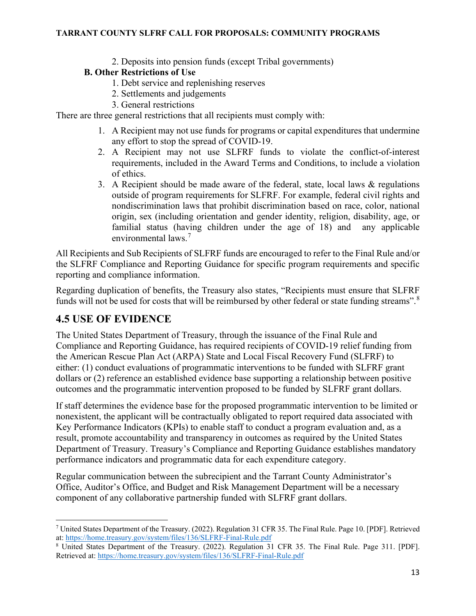2. Deposits into pension funds (except Tribal governments)

#### **B. Other Restrictions of Use**

- 1. Debt service and replenishing reserves
- 2. Settlements and judgements
- 3. General restrictions

There are three general restrictions that all recipients must comply with:

- 1. A Recipient may not use funds for programs or capital expenditures that undermine any effort to stop the spread of COVID-19.
- 2. A Recipient may not use SLFRF funds to violate the conflict-of-interest requirements, included in the Award Terms and Conditions, to include a violation of ethics.
- 3. A Recipient should be made aware of the federal, state, local laws & regulations outside of program requirements for SLFRF. For example, federal civil rights and nondiscrimination laws that prohibit discrimination based on race, color, national origin, sex (including orientation and gender identity, religion, disability, age, or familial status (having children under the age of 18) and any applicable environmental laws.[7](#page-12-0)

All Recipients and Sub Recipients of SLFRF funds are encouraged to refer to the Final Rule and/or the SLFRF Compliance and Reporting Guidance for specific program requirements and specific reporting and compliance information.

Regarding duplication of benefits, the Treasury also states, "Recipients must ensure that SLFRF funds will not be used for costs that will be reimbursed by other federal or state funding streams".<sup>[8](#page-12-1)</sup>

### **4.5 USE OF EVIDENCE**

The United States Department of Treasury, through the issuance of the Final Rule and Compliance and Reporting Guidance, has required recipients of COVID-19 relief funding from the American Rescue Plan Act (ARPA) State and Local Fiscal Recovery Fund (SLFRF) to either: (1) conduct evaluations of programmatic interventions to be funded with SLFRF grant dollars or (2) reference an established evidence base supporting a relationship between positive outcomes and the programmatic intervention proposed to be funded by SLFRF grant dollars.

If staff determines the evidence base for the proposed programmatic intervention to be limited or nonexistent, the applicant will be contractually obligated to report required data associated with Key Performance Indicators (KPIs) to enable staff to conduct a program evaluation and, as a result, promote accountability and transparency in outcomes as required by the United States Department of Treasury. Treasury's Compliance and Reporting Guidance establishes mandatory performance indicators and programmatic data for each expenditure category.

Regular communication between the subrecipient and the Tarrant County Administrator's Office, Auditor's Office, and Budget and Risk Management Department will be a necessary component of any collaborative partnership funded with SLFRF grant dollars.

<span id="page-12-0"></span><sup>7</sup> United States Department of the Treasury. (2022). Regulation 31 CFR 35. The Final Rule. Page 10. [PDF]. Retrieved at:<https://home.treasury.gov/system/files/136/SLFRF-Final-Rule.pdf>

<span id="page-12-1"></span><sup>8</sup> United States Department of the Treasury. (2022). Regulation 31 CFR 35. The Final Rule. Page 311. [PDF]. Retrieved at:<https://home.treasury.gov/system/files/136/SLFRF-Final-Rule.pdf>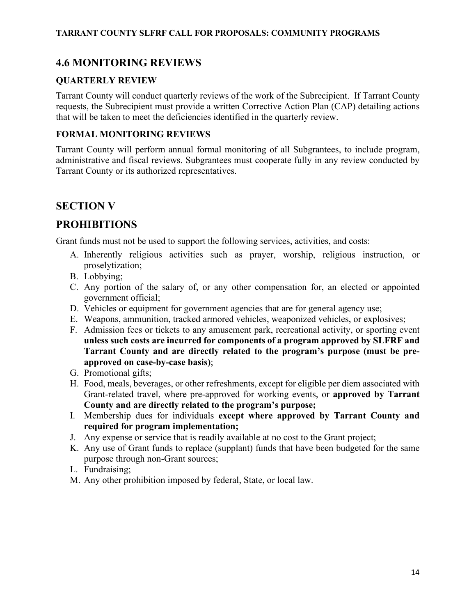# **4.6 MONITORING REVIEWS**

### **QUARTERLY REVIEW**

Tarrant County will conduct quarterly reviews of the work of the Subrecipient. If Tarrant County requests, the Subrecipient must provide a written Corrective Action Plan (CAP) detailing actions that will be taken to meet the deficiencies identified in the quarterly review.

#### **FORMAL MONITORING REVIEWS**

Tarrant County will perform annual formal monitoring of all Subgrantees, to include program, administrative and fiscal reviews. Subgrantees must cooperate fully in any review conducted by Tarrant County or its authorized representatives.

### **SECTION V**

### **PROHIBITIONS**

Grant funds must not be used to support the following services, activities, and costs:

- A. Inherently religious activities such as prayer, worship, religious instruction, or proselytization;
- B. Lobbying;
- C. Any portion of the salary of, or any other compensation for, an elected or appointed government official;
- D. Vehicles or equipment for government agencies that are for general agency use;
- E. Weapons, ammunition, tracked armored vehicles, weaponized vehicles, or explosives;
- F. Admission fees or tickets to any amusement park, recreational activity, or sporting event **unless such costs are incurred for components of a program approved by SLFRF and Tarrant County and are directly related to the program's purpose (must be preapproved on case-by-case basis)**;
- G. Promotional gifts;
- H. Food, meals, beverages, or other refreshments, except for eligible per diem associated with Grant-related travel, where pre-approved for working events, or **approved by Tarrant County and are directly related to the program's purpose;**
- I. Membership dues for individuals **except where approved by Tarrant County and required for program implementation;**
- J. Any expense or service that is readily available at no cost to the Grant project;
- K. Any use of Grant funds to replace (supplant) funds that have been budgeted for the same purpose through non-Grant sources;
- L. Fundraising;
- M. Any other prohibition imposed by federal, State, or local law.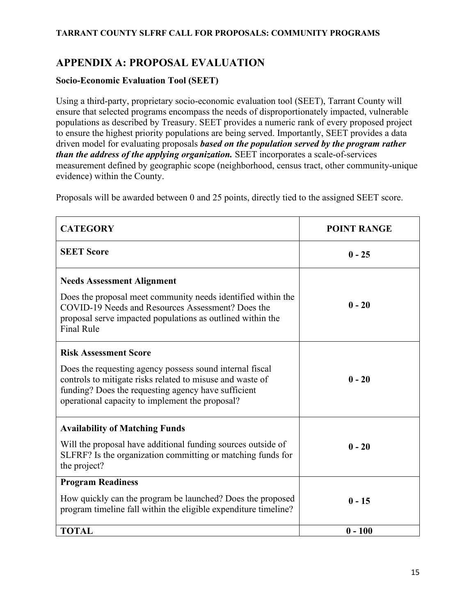# **APPENDIX A: PROPOSAL EVALUATION**

#### **Socio-Economic Evaluation Tool (SEET)**

Using a third-party, proprietary socio-economic evaluation tool (SEET), Tarrant County will ensure that selected programs encompass the needs of disproportionately impacted, vulnerable populations as described by Treasury. SEET provides a numeric rank of every proposed project to ensure the highest priority populations are being served. Importantly, SEET provides a data driven model for evaluating proposals *based on the population served by the program rather than the address of the applying organization.* SEET incorporates a scale-of-services measurement defined by geographic scope (neighborhood, census tract, other community-unique evidence) within the County.

Proposals will be awarded between 0 and 25 points, directly tied to the assigned SEET score.

| <b>CATEGORY</b>                                                                                                                                                                                                                                                 | <b>POINT RANGE</b> |
|-----------------------------------------------------------------------------------------------------------------------------------------------------------------------------------------------------------------------------------------------------------------|--------------------|
| <b>SEET Score</b>                                                                                                                                                                                                                                               | $0 - 25$           |
| <b>Needs Assessment Alignment</b><br>Does the proposal meet community needs identified within the<br>COVID-19 Needs and Resources Assessment? Does the<br>proposal serve impacted populations as outlined within the<br><b>Final Rule</b>                       | $0 - 20$           |
| <b>Risk Assessment Score</b><br>Does the requesting agency possess sound internal fiscal<br>controls to mitigate risks related to misuse and waste of<br>funding? Does the requesting agency have sufficient<br>operational capacity to implement the proposal? | $0 - 20$           |
| <b>Availability of Matching Funds</b><br>Will the proposal have additional funding sources outside of<br>SLFRF? Is the organization committing or matching funds for<br>the project?                                                                            | $0 - 20$           |
| <b>Program Readiness</b><br>How quickly can the program be launched? Does the proposed<br>program timeline fall within the eligible expenditure timeline?                                                                                                       | $0 - 15$           |
| <b>TOTAL</b>                                                                                                                                                                                                                                                    | $0 - 100$          |